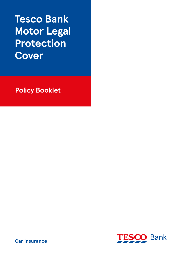# **Tesco Bank Motor Legal Protection Cover**

**Policy Booklet**



**Car Insurance**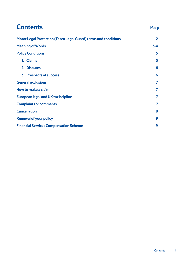| <b>Contents</b>                                                 | Page           |
|-----------------------------------------------------------------|----------------|
| Motor Legal Protection (Tesco Legal Guard) terms and conditions | $\overline{2}$ |
| <b>Meaning of Words</b>                                         |                |
| <b>Policy Conditions</b>                                        | 5              |
| 1. Claims                                                       | 5              |
| 2. Disputes                                                     | 6              |
| 3. Prospects of success                                         | 6              |
| <b>General exclusions</b>                                       | 7              |
| How to make a claim                                             |                |
| <b>European legal and UK tax helpline</b>                       |                |
| <b>Complaints or comments</b>                                   |                |
| <b>Cancellation</b>                                             |                |
| <b>Renewal of your policy</b>                                   |                |
| <b>Financial Services Compensation Scheme</b>                   |                |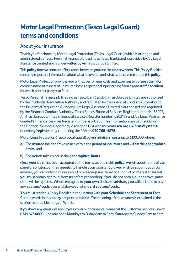## <span id="page-2-0"></span>**Motor Legal Protection (Tesco Legal Guard) terms and conditions**

## About your Insurance

Thank you for choosing Motor Legal Protection (Tesco Legal Guard) which is arranged and administered by Tesco Personal Finance plc (trading as Tesco Bank), and is provided by Arc Legal Assistance Limited and is underwritten by AmTrust Europe Limited.

This **policy** forms a contract of insurance between **you** and the **underwriters**. This Policy Booklet contains important information about what is covered and what is not covered under this **policy**.

Motor Legal Protection provides **you** with cover for legal costs and expenses to pursue a claim for compensation in respect of uninsured losses or personal injury arising from a **road traffic accident** for which another party is at fault.

Tesco Personal Finance plc (trading as Tesco Bank) and AmTrust Europe Limited are authorised by the Prudential Regulation Authority and regulated by the Financial Conduct Authority and the Prudential Regulation Authority. Arc Legal Assistance Limited is authorised and regulated by the Financial Conduct Authority. Tesco Bank's Financial Services Register number is 186022, AmTrust Europe Limited's Financial Services Register number is 202189 and Arc Legal Assistance Limited's Financial Services Register number is 305958. This information can be checked on the Financial Services Register by visiting the FCA website **www.fca.org.uk/firms/systemsreporting/register** or by contacting the PRA on **020 7601 4878**.

Motor Legal Protection (Tesco Legal Guard) covers **advisers' costs** up to £100,000 where:

- a)The **insured incident** takes place within the **period of insurance** and within the **geographical limits**, and
- b) The **action** takes place in the **geographical limits**.

Once **your** claim has been accepted on the terms set out in this **policy**, **we** will appoint one of **our** panel of solicitors, or their agents, to handle **your** case. Should **you** wish to appoint **your** own **adviser**, **you** can only do so once court proceedings are issued or a conflict of interest arises but **you** must obtain approval from **us** before proceeding. If **you** do not obtain **our** approval **your**  claim will be rejected. Where **we** agree to **your** own choice of **adviser**, **you** will be liable to pay any **advisers' costs** over and above **our standard advisers' costs.**

**You** must read this Policy Booklet in conjunction with **your Schedule** and **Statement of Fact**. Certain words in this **policy** are printed in **bold**. The meaning of those words is explained in the section headed Meanings of Words.

If **you** have any questions about **your** cover or documents, please call the Customer Services Line on **0345 673 0000**. Lines are open Mondays to Friday 8am to 9pm, Saturday to Sunday 9am to 5pm.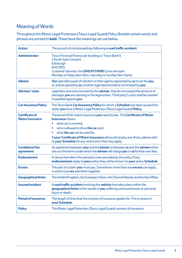## <span id="page-3-0"></span>Meaning of Words

Throughout this Motor Legal Protection (Tesco Legal Guard) Policy Booklet certain words and phrases are printed in **bold**. These have the meanings set out below.

| <b>Action</b>                                   | The pursuit of civil proceedings following a road traffic accident.                                                                                                                                                                                                                                                                                              |
|-------------------------------------------------|------------------------------------------------------------------------------------------------------------------------------------------------------------------------------------------------------------------------------------------------------------------------------------------------------------------------------------------------------------------|
| <b>Administrator</b>                            | Tesco Personal Finance plc (trading as 'Tesco Bank')<br>2 South Gyle Crescent<br>Edinburgh<br><b>EH12 9FQ</b><br>Customer Services Line 0345 673 0000 (Lines are open<br>Monday to Friday 8am-9pm, Saturday to Sunday 9am-5pm).                                                                                                                                  |
| <b>Adviser</b>                                  | Our specialist panel of solicitors or their agents appointed by us to act for you,<br>or, where agreed by us, another legal representative nominated by you.                                                                                                                                                                                                     |
| <b>Advisers' costs</b>                          | Legal fees and costs incurred by the adviser, that do not exceed the amount of<br>damages you are claiming in the legal action. Third party's costs shall be covered<br>if awarded against you.                                                                                                                                                                  |
| <b>Car Insurance Policy</b>                     | The Tesco Bank Car Insurance Policy for which a Schedule has been issued that<br>states you have a Motor Legal Protection (Tesco Legal Guard) Policy.                                                                                                                                                                                                            |
| <b>Certificate of</b><br><b>Motor Insurance</b> | The proof of the motor insurance you need by law. The Certificate of Motor<br><b>Insurance shows:</b><br>what car is covered;<br>who is allowed to drive the car; and<br>٠<br>what <b>the car</b> can be used for.<br>If your Certificate of Motor Insurance allows driving by any driver, please refer<br>to your Schedule for any restrictions that may apply. |
| <b>Conditional fee</b><br>agreement             | An agreement between you and the adviser or between us and the adviser which<br>sets out the terms under which the adviser will charge you or us for their own fees.                                                                                                                                                                                             |
| <b>Endorsement</b>                              | A clause that alters the standard cover provided by the policy. If any<br>endorsements apply to your policy they will be shown on your policy Schedule.                                                                                                                                                                                                          |
| <b>Excess</b>                                   | The part of a claim you must pay. Sometimes more than one excess can apply,<br>in which case we add them together.                                                                                                                                                                                                                                               |
| <b>Geographical limits</b>                      | The United Kingdom, the European Union, the Channel Islands and the Isle of Man.                                                                                                                                                                                                                                                                                 |
| <b>Insured incident</b>                         | A road traffic accident involving the vehicle that takes place within the<br>geographical limits which results in you suffering uninsured losses or personal<br>injury or death.                                                                                                                                                                                 |
| <b>Period of insurance</b>                      | The length of time that the contract of insurance applies for. This is shown in<br>vour Schedule.                                                                                                                                                                                                                                                                |
| <b>Policy</b>                                   | This Motor Legal Protection (Tesco Legal Guard) contract of insurance.                                                                                                                                                                                                                                                                                           |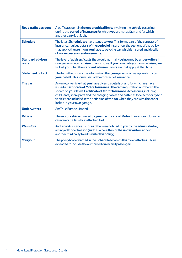| <b>Road traffic accident</b>       | A traffic accident in the <b>geographical limits</b> involving the <b>vehicle</b> occurring<br>during the <b>period of insurance</b> for which you are not at fault and for which<br>another party is at fault.                                                                                                                                                                                                                                       |
|------------------------------------|-------------------------------------------------------------------------------------------------------------------------------------------------------------------------------------------------------------------------------------------------------------------------------------------------------------------------------------------------------------------------------------------------------------------------------------------------------|
| <b>Schedule</b>                    | The latest <b>Schedule we</b> have issued to you. This forms part of the contract of<br>insurance. It gives details of the <b>period of insurance</b> , the sections of the policy<br>that apply, the premium you have to pay, the car which is insured and details<br>of any excesses or endorsements.                                                                                                                                               |
| <b>Standard advisers'</b><br>costs | The level of <b>advisers' costs</b> that would normally be incurred by <b>underwriters</b> in<br>using a nominated adviser of our choice. If you nominate your own advisor, we<br>will tell you what the standard advisors' costs are that apply at that time.                                                                                                                                                                                        |
| <b>Statement of Fact</b>           | The form that shows the information that you gave us, or was given to us on<br><b>your</b> behalf. This forms part of the contract of insurance.                                                                                                                                                                                                                                                                                                      |
| The car                            | Any motor vehicle that you have given us details of and for which we have<br>issued a Certificate of Motor Insurance. The car's registration number will be<br>shown on your latest Certificate of Motor Insurance. Accessories, including<br>child seats, spare parts and the charging cables and batteries for electric or hybrid<br>vehicles are included in the definition of the car when they are with the car or<br>locked in your own garage. |
| <b>Underwriters</b>                | AmTrust Europe Limited.                                                                                                                                                                                                                                                                                                                                                                                                                               |
| <b>Vehicle</b>                     | The motor vehicle covered by your Certificate of Motor Insurance including a<br>caravan or trailer whilst attached to it.                                                                                                                                                                                                                                                                                                                             |
| <b>We/us/our</b>                   | Arc Legal Assistance Ltd or as otherwise notified to you by the administrator,<br>acting with good reason (such as where they or the <b>underwriters</b> appoint<br>another third party to administer this <b>policy</b> ).                                                                                                                                                                                                                           |
| You/your                           | The policyholder named in the <b>Schedule</b> to which this cover attaches. This is<br>extended to include the authorised driver and passengers.                                                                                                                                                                                                                                                                                                      |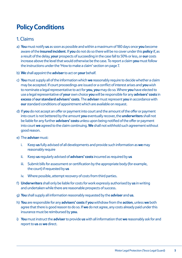## <span id="page-5-0"></span>**Policy Conditions**

## 1. Claims

- a) **You** must notify **us** as soon as possible and within a maximum of 180 days once **you** become aware of the **insured incident**. If **you** do not do so there will be no cover under this **policy** if, as a result of the delay, **your** prospects of succeeding in the case fall to 50% or less, or **our** costs increase above the level that would otherwise be the case. To report a claim **you** must follow the instructions under the 'How to make a claim' section on [page 7.](#page-7-0)
- b) **We** shall appoint the **adviser** to act on **your** behalf.
- c) **You** must supply all of the information which **we** reasonably require to decide whether a claim may be accepted. If court proceedings are issued or a conflict of interest arises and **you** wish to nominate a legal representative to act for **you**, **you** may do so. Where **you** have elected to use a legal representative of **your** own choice **you** will be responsible for any **advisers' costs** in **excess** of **our standard advisers' costs**. The **adviser** must represent **you** in accordance with **our** standard conditions of appointment which are available on request.
- d) If **you** do not accept an offer or payment into court and the amount of the offer or payment into court is not bettered by the amount **you** eventually recover, the **underwriters** shall not be liable for any further **advisers' costs** unless upon being notified of the offer or payment into court **we** agreed to the claim continuing. **We** shall not withhold such agreement without good reason.
- e) The **adviser** must:
	- i. Keep **us** fully advised of all developments and provide such information as **we** may reasonably require
	- ii. Keep **us** regularly advised of **advisers' costs** incurred as required by **us**
	- iii. Submit bills for assessment or certification by the appropriate body (for example, the court) if requested by **us**
	- iv. Where possible, attempt recovery of costs from third parties.
- f) **Underwriters** shall only be liable for costs for work expressly authorised by **us** in writing and undertaken while there are reasonable prospects of success.
- g) **You** shall supply all information reasonably requested by the **adviser** and **us**.
- h) **You** are responsible for any **advisers' costs** if **you** withdraw from the **action**, unless **we** both agree that there is good reason to do so. If **we** do not agree, any costs already paid under this insurance must be reimbursed by **you**.
- i) **You** must instruct the **adviser** to provide **us** with all information that **we** reasonably ask for and report to **us** as **we** direct.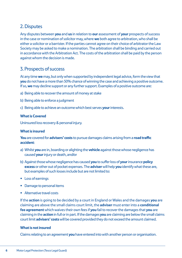## <span id="page-6-0"></span>2. Disputes

Any disputes between **you** and **us** in relation to **our** assessment of **your** prospects of success in the case or nomination of solicitor may, where **we** both agree to arbitration, who shall be either a solicitor or a barrister. If the parties cannot agree on their choice of arbitrator the Law Society may be asked to make a nomination. The arbitration shall be binding and carried out in accordance with the Arbitration Act. The costs of the arbitration shall be paid by the person against whom the decision is made.

## 3. Prospects of success

At any time **we** may, but only when supported by independent legal advice, form the view that **you** do not have a more than 50% chance of winning the case and achieving a positive outcome. If so, **we** may decline support or any further support. Examples of a positive outcome are:

- a) Being able to recover the amount of money at stake
- b) Being able to enforce a judgment
- c) Being able to achieve an outcome which best serves **your** interests.

#### **What is Covered**

Uninsured loss recovery & personal injury.

#### **What is insured**

**You** are covered for **advisers' costs** to pursue damages claims arising from a **road traffic accident**:

- a) Whilst **you** are in, boarding or alighting the **vehicle** against those whose negligence has caused **your** injury or death, and/or
- b) Against those whose negligence has caused **you** to suffer loss of **your** insurance **policy excess** or other out of pocket expenses. The **adviser** will help **you** identify what these are, but examples of such losses include but are not limited to:
- Loss of earnings
- Damage to personal items
- Alternative travel costs

If the **action** is going to be decided by a court in England or Wales and the damages **you** are claiming are above the small claims court limit, the **adviser** must enter into a **conditional fee agreement** which waives their own fees if **you** fail to recover the damages that **you** are claiming in the **action** in full or in part. If the damages **you** are claiming are below the small claims court limit **advisers' costs** will be covered provided they do not exceed the amount claimed.

#### **What is not insured**

Claims relating to an agreement **you** have entered into with another person or organisation.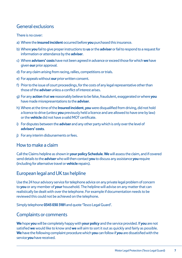## <span id="page-7-0"></span>General exclusions

#### There is no cover:

- a) Where the **insured incident** occurred before **you** purchased this insurance.
- b) Where **you** fail to give proper instructions to **us** or the **adviser** or fail to respond to a request for information or attendance by the **adviser**.
- c) Where **advisers' costs** have not been agreed in advance or exceed those for which **we** have given **our** prior approval.
- d) For any claim arising from racing, rallies, competitions or trials.
- e) For appeals without **our** prior written consent.
- f) Prior to the issue of court proceedings, for the costs of any legal representative other than those of the **adviser** unless a conflict of interest arises.
- g) For any **action** that **we** reasonably believe to be false, fraudulent, exaggerated or where **you**  have made misrepresentations to the **adviser**.
- h) Where at the time of the **Insured incident**, **you** were disqualified from driving, did not hold a licence to drive (unless **you** previously held a licence and are allowed to have one by law) or the **vehicle** did not have a valid MOT certificate.
- i) For disputes between the **adviser** and any other party which is only over the level of **advisers' costs**.
- j) For any interim disbursements or fees.

### How to make a claim

Call the Claims helpline as shown in **your policy Schedule**. **We** will assess the claim, and if covered send details to the **adviser** who will then contact **you** to discuss any assistance **you** require (including for alternative travel or **vehicle** repairs).

## European legal and UK tax helpline

Use the 24 hour advisory service for telephone advice on any private legal problem of concern to **you** or any member of **your** household. The helpline will advise on any matter that can realistically be dealt with over the telephone. For example if documentation needs to be reviewed this could not be achieved on the telephone.

Simply telephone **0345 030 3181** and quote 'Tesco Legal Guard'.

## Complaints or comments

**We** hope **you** will be completely happy with **your policy** and the service provided. If **you** are not satisfied **we** would like to know and **we** will aim to sort it out as quickly and fairly as possible. **We** have the following complaint procedure which **you** can follow if **you** are dissatisfied with the service **you** have received.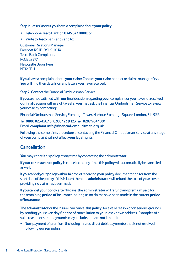<span id="page-8-0"></span>Step 1: Let **us** know if **you** have a complaint about **your policy**:

- Telephone Tesco Bank on **0345 673 0000**; or
- Write to Tesco Bank and send to:

Customer Relations Manager Freepost RSJB-RYLK-JKUX Tesco Bank Complaints **PO. Box 277** Newcastle Upon Tyne NF<sub>12</sub> 2BU

If **you** have a complaint about **your** claim: Contact **your** claim handler or claims manager first. **You** will find their details on any letters **you** have received.

Step 2: Contact the Financial Ombudsman Service

If **you** are not satisfied with **our** final decision regarding **your** complaint or **you** have not received **our** final decision within eight weeks, **you** may ask the Financial Ombudsman Service to review **your** case by contacting:

Financial Ombudsman Service, Exchange Tower, Harbour Exchange Square, London, E14 9SR

#### Tel: **0800 023 4567** or **0300 123 9 123** Fax: **0207 964 1001** Email: **complaint.info@financial-ombudsman.org.uk**

Following the complaints procedure or contacting the Financial Ombudsman Service at any stage of **your** complaint will not affect **your** legal rights.

### **Cancellation**

**You** may cancel this **policy** at any time by contacting the **administrator**.

If**your car insurance policy** is cancelled at any time, this **policy** will automatically be cancelled as well.

If **you** cancel **your policy** within 14 days of receiving **your policy** documentation (or from the start date of the **policy** if this is later) then the **administrator** will refund the cost of **your** cover providing no claim has been made.

If **you** cancel **your policy** after 14 days, the **administrator** will refund any premium paid for the remaining **period of insurance**, as long as no claims have been made in the current **period of insurance**.

The **administrator** or the insurer can cancel this **policy**, for a valid reason or on serious grounds, by sending **you** seven days' notice of cancellation to **your** last known address. Examples of a valid reason or serious grounds may include, but are not limited to:

• Non-payment of premium (including missed direct debit payments) that is not resolved following **our** reminders.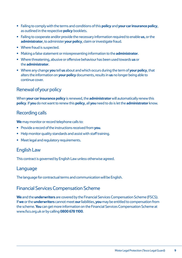- <span id="page-9-0"></span>• Failing to comply with the terms and conditions of this **policy** and **your car insurance policy**, as outlined in the respective **policy** booklets.
- Failing to cooperate and/or provide the necessary information required to enable **us**, or the **administrator**, to administer **your policy**, claim or investigate fraud.
- Where fraud is suspected.
- Making a false statement or misrepresenting information to the **administrator**.
- Where threatening, abusive or offensive behaviour has been used towards **us** or the **administrator**.
- Where any change **you** tell **us** about and which occurs during the term of **your policy**, that alters the information on **your policy** documents, results in **us** no longer being able to continue cover.

## Renewal of your policy

When **your car insurance policy** is renewed, the **administrator** will automatically renew this **policy**. If **you** do not want to renew this **policy**, all **you** need to do is let the **administrator** know.

## Recording calls

**We** may monitor or record telephone calls to:

- Provide a record of the instructions received from **you**.
- Help monitor quality standards and assist with staff training.
- Meet legal and regulatory requirements.

## English Law

This contract is governed by English Law unless otherwise agreed.

### Language

The language for contractual terms and communication will be English.

## Financial Services Compensation Scheme

**We** and the **underwriters** are covered by the Financial Services Compensation Scheme (FSCS). If **we** or the **underwriters** cannot meet **our** liabilities, **you** may be entitled to compensation from the scheme.**You** can get more information on the Financial Services Compensation Scheme at www.fscs.org.uk or by calling **0800 678 1100**.